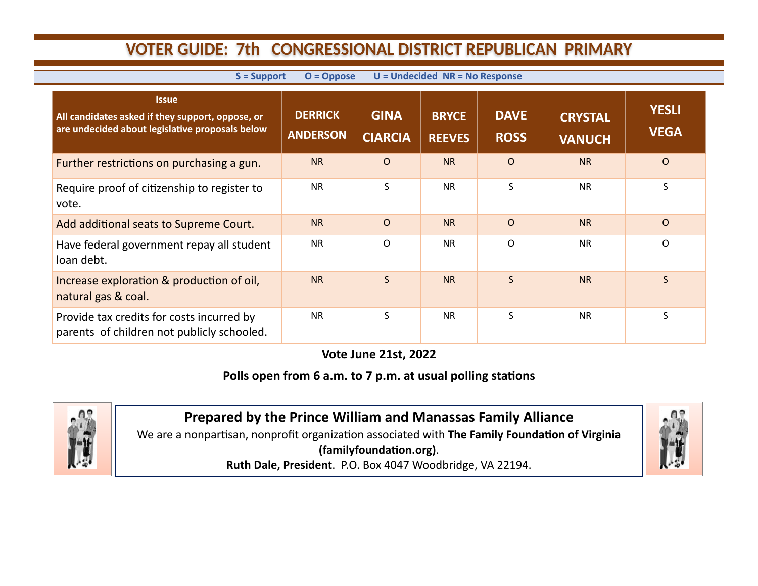## **VOTER GUIDE: 7th CONGRESSIONAL DISTRICT REPUBLICAN PRIMARY**

| $O = Oppose$<br>$U =$ Undecided $NR = No$ Response<br>$S =$ Support                                                 |                                   |                               |                               |                            |                                 |                             |  |  |  |  |
|---------------------------------------------------------------------------------------------------------------------|-----------------------------------|-------------------------------|-------------------------------|----------------------------|---------------------------------|-----------------------------|--|--|--|--|
| <b>Issue</b><br>All candidates asked if they support, oppose, or<br>are undecided about legislative proposals below | <b>DERRICK</b><br><b>ANDERSON</b> | <b>GINA</b><br><b>CIARCIA</b> | <b>BRYCE</b><br><b>REEVES</b> | <b>DAVE</b><br><b>ROSS</b> | <b>CRYSTAL</b><br><b>VANUCH</b> | <b>YESLI</b><br><b>VEGA</b> |  |  |  |  |
| Further restrictions on purchasing a gun.                                                                           | <b>NR</b>                         | $\Omega$                      | <b>NR</b>                     | $\Omega$                   | <b>NR</b>                       | $\mathsf{O}$                |  |  |  |  |
| Require proof of citizenship to register to<br>vote.                                                                | <b>NR</b>                         | S                             | <b>NR</b>                     | S                          | <b>NR</b>                       | S                           |  |  |  |  |
| Add additional seats to Supreme Court.                                                                              | <b>NR</b>                         | $\Omega$                      | <b>NR</b>                     | $\Omega$                   | <b>NR</b>                       | $\mathsf{O}$                |  |  |  |  |
| Have federal government repay all student<br>loan debt.                                                             | <b>NR</b>                         | $\circ$                       | <b>NR</b>                     | $\Omega$                   | <b>NR</b>                       | $\mathsf{O}$                |  |  |  |  |
| Increase exploration & production of oil,<br>natural gas & coal.                                                    | <b>NR</b>                         | $\mathsf{S}$                  | <b>NR</b>                     | S                          | <b>NR</b>                       | $\mathsf{S}$                |  |  |  |  |
| Provide tax credits for costs incurred by<br>parents of children not publicly schooled.                             | <b>NR</b>                         | S                             | <b>NR</b>                     | S                          | <b>NR</b>                       | S                           |  |  |  |  |

**Vote June 21st, 2022**

## **Polls open from 6 a.m. to 7 p.m. at usual polling stations**



**Prepared by the Prince William and Manassas Family Alliance**  We are a nonpartisan, nonprofit organization associated with **The Family Foundation of Virginia (familyfoundation.org)**.

**Ruth Dale, President**. P.O. Box 4047 Woodbridge, VA 22194.